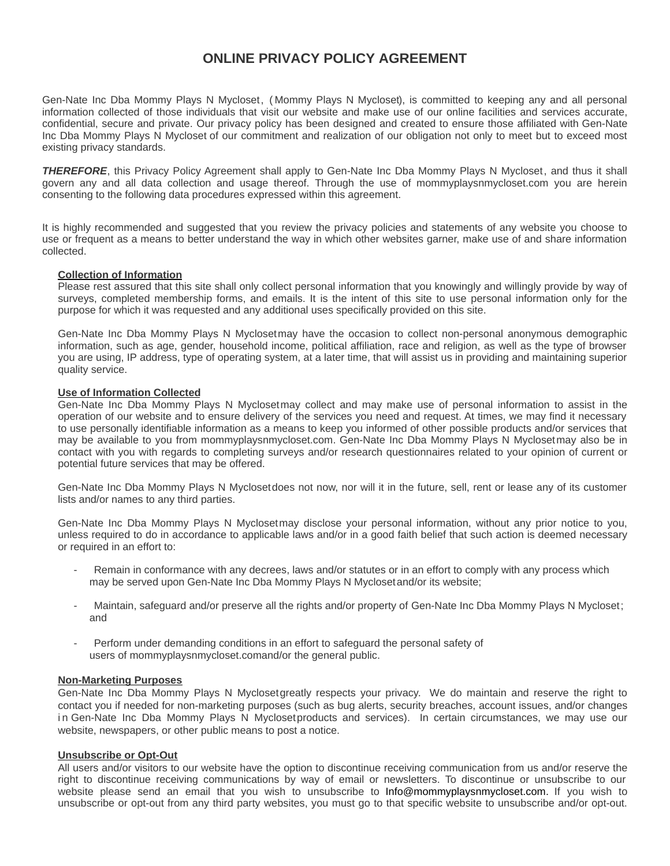# **ONLINE PRIVACY POLICY AGREEMENT**

Gen-Nate Inc Dba Mommy Plays N Mycloset, (Mommy Plays N Mycloset), is committed to keeping any and all personal information collected of those individuals that visit our website and make use of our online facilities and services accurate, confidential, secure and private. Our privacy policy has been designed and created to ensure those affiliated with Gen-Nate Inc Dba Mommy Plays N Mycloset of our commitment and realization of our obligation not only to meet but to exceed most existing privacy standards.

*THEREFORE*, this Privacy Policy Agreement shall apply to Gen-Nate Inc Dba Mommy Plays N Mycloset , and thus it shall govern any and all data collection and usage thereof. Through the use of mommyplaysnmycloset.com you are herein consenting to the following data procedures expressed within this agreement.

It is highly recommended and suggested that you review the privacy policies and statements of any website you choose to use or frequent as a means to better understand the way in which other websites garner, make use of and share information collected.

## **Collection of Information**

Please rest assured that this site shall only collect personal information that you knowingly and willingly provide by way of surveys, completed membership forms, and emails. It is the intent of this site to use personal information only for the purpose for which it was requested and any additional uses specifically provided on this site.

Gen-Nate Inc Dba Mommy Plays N Mycloset may have the occasion to collect non-personal anonymous demographic information, such as age, gender, household income, political affiliation, race and religion, as well as the type of browser you are using, IP address, type of operating system, at a later time, that will assist us in providing and maintaining superior quality service.

## **Use of Information Collected**

Gen-Nate Inc Dba Mommy Plays N Myclosetmay collect and may make use of personal information to assist in the operation of our website and to ensure delivery of the services you need and request. At times, we may find it necessary to use personally identifiable information as a means to keep you informed of other possible products and/or services that may be available to you from mommyplaysnmycloset.com. Gen-Nate Inc Dba Mommy Plays N Myclosetmay also be in contact with you with regards to completing surveys and/or research questionnaires related to your opinion of current or potential future services that may be offered.

Gen-Nate Inc Dba Mommy Plays N Mycloset does not now, nor will it in the future, sell, rent or lease any of its customer lists and/or names to any third parties.

Gen-Nate Inc Dba Mommy Plays N Myclosetmay disclose your personal information, without any prior notice to you, unless required to do in accordance to applicable laws and/or in a good faith belief that such action is deemed necessary or required in an effort to:

- Remain in conformance with any decrees, laws and/or statutes or in an effort to comply with any process which may be served upon Gen-Nate Inc Dba Mommy Plays N Mycloset and/or its website;
- Maintain, safeguard and/or preserve all the rights and/or property of Gen-Nate Inc Dba Mommy Plays N Mycloset; and
- Perform under demanding conditions in an effort to safeguard the personal safety of users of mommyplaysnmycloset.comand/or the general public.

## **Non-Marketing Purposes**

Gen-Nate Inc Dba Mommy Plays N Mycloset greatly respects your privacy. We do maintain and reserve the right to contact you if needed for non-marketing purposes (such as bug alerts, security breaches, account issues, and/or changes in Gen-Nate Inc Dba Mommy Plays N Mycloset products and services). In certain circumstances, we may use our website, newspapers, or other public means to post a notice.

## **Unsubscribe or Opt-Out**

All users and/or visitors to our website have the option to discontinue receiving communication from us and/or reserve the right to discontinue receiving communications by way of email or newsletters. To discontinue or unsubscribe to our website please send an email that you wish to unsubscribe to Info@mommyplaysnmycloset.com. If you wish to unsubscribe or opt-out from any third party websites, you must go to that specific website to unsubscribe and/or opt-out.